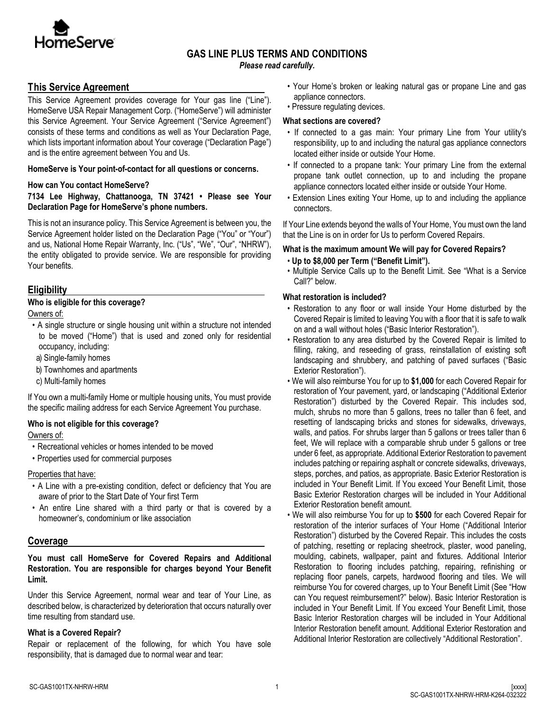

## **GAS LINE PLUS TERMS AND CONDITIONS**

*Please read carefully.*

## **This Service Agreement**

This Service Agreement provides coverage for Your gas line ("Line"). HomeServe USA Repair Management Corp. ("HomeServe") will administer this Service Agreement. Your Service Agreement ("Service Agreement") consists of these terms and conditions as well as Your Declaration Page, which lists important information about Your coverage ("Declaration Page") and is the entire agreement between You and Us.

### **HomeServe is Your point-of-contact for all questions or concerns.**

### **How can You contact HomeServe?**

**7134 Lee Highway, Chattanooga, TN 37421 • Please see Your Declaration Page for HomeServe's phone numbers.** 

This is not an insurance policy. This Service Agreement is between you, the Service Agreement holder listed on the Declaration Page ("You" or "Your") and us, National Home Repair Warranty, Inc. ("Us", "We", "Our", "NHRW"), the entity obligated to provide service. We are responsible for providing Your benefits.

## **Eligibility**

### **Who is eligible for this coverage?**

Owners of:

- A single structure or single housing unit within a structure not intended to be moved ("Home") that is used and zoned only for residential occupancy, including:
- a) Single-family homes
- b) Townhomes and apartments
- c) Multi-family homes

If You own a multi-family Home or multiple housing units, You must provide the specific mailing address for each Service Agreement You purchase.

#### **Who is not eligible for this coverage?**

Owners of:

- Recreational vehicles or homes intended to be moved
- Properties used for commercial purposes

Properties that have:

- A Line with a pre-existing condition, defect or deficiency that You are aware of prior to the Start Date of Your first Term
- An entire Line shared with a third party or that is covered by a homeowner's, condominium or like association

## **Coverage**

**You must call HomeServe for Covered Repairs and Additional Restoration. You are responsible for charges beyond Your Benefit Limit.**

Under this Service Agreement, normal wear and tear of Your Line, as described below, is characterized by deterioration that occurs naturally over time resulting from standard use.

## **What is a Covered Repair?**

Repair or replacement of the following, for which You have sole responsibility, that is damaged due to normal wear and tear:

- Your Home's broken or leaking natural gas or propane Line and gas appliance connectors.
- Pressure regulating devices.

### **What sections are covered?**

- If connected to a gas main: Your primary Line from Your utility's responsibility, up to and including the natural gas appliance connectors located either inside or outside Your Home.
- If connected to a propane tank: Your primary Line from the external propane tank outlet connection, up to and including the propane appliance connectors located either inside or outside Your Home.
- Extension Lines exiting Your Home, up to and including the appliance connectors.

If Your Line extends beyond the walls of Your Home, You must own the land that the Line is on in order for Us to perform Covered Repairs.

## **What is the maximum amount We will pay for Covered Repairs?**

- **Up to \$8,000 per Term ("Benefit Limit").**
- Multiple Service Calls up to the Benefit Limit. See "What is a Service Call?" below.

### **What restoration is included?**

- Restoration to any floor or wall inside Your Home disturbed by the Covered Repair is limited to leaving You with a floor that it is safe to walk on and a wall without holes ("Basic Interior Restoration").
- Restoration to any area disturbed by the Covered Repair is limited to filling, raking, and reseeding of grass, reinstallation of existing soft landscaping and shrubbery, and patching of paved surfaces ("Basic Exterior Restoration").
- We will also reimburse You for up to **\$1,000** for each Covered Repair for restoration of Your pavement, yard, or landscaping ("Additional Exterior Restoration") disturbed by the Covered Repair. This includes sod, mulch, shrubs no more than 5 gallons, trees no taller than 6 feet, and resetting of landscaping bricks and stones for sidewalks, driveways, walls, and patios. For shrubs larger than 5 gallons or trees taller than 6 feet, We will replace with a comparable shrub under 5 gallons or tree under 6 feet, as appropriate. Additional Exterior Restoration to pavement includes patching or repairing asphalt or concrete sidewalks, driveways, steps, porches, and patios, as appropriate. Basic Exterior Restoration is included in Your Benefit Limit. If You exceed Your Benefit Limit, those Basic Exterior Restoration charges will be included in Your Additional Exterior Restoration benefit amount.
- We will also reimburse You for up to **\$500** for each Covered Repair for restoration of the interior surfaces of Your Home ("Additional Interior Restoration") disturbed by the Covered Repair. This includes the costs of patching, resetting or replacing sheetrock, plaster, wood paneling, moulding, cabinets, wallpaper, paint and fixtures. Additional Interior Restoration to flooring includes patching, repairing, refinishing or replacing floor panels, carpets, hardwood flooring and tiles. We will reimburse You for covered charges, up to Your Benefit Limit (See "How can You request reimbursement?" below). Basic Interior Restoration is included in Your Benefit Limit. If You exceed Your Benefit Limit, those Basic Interior Restoration charges will be included in Your Additional Interior Restoration benefit amount. Additional Exterior Restoration and Additional Interior Restoration are collectively "Additional Restoration".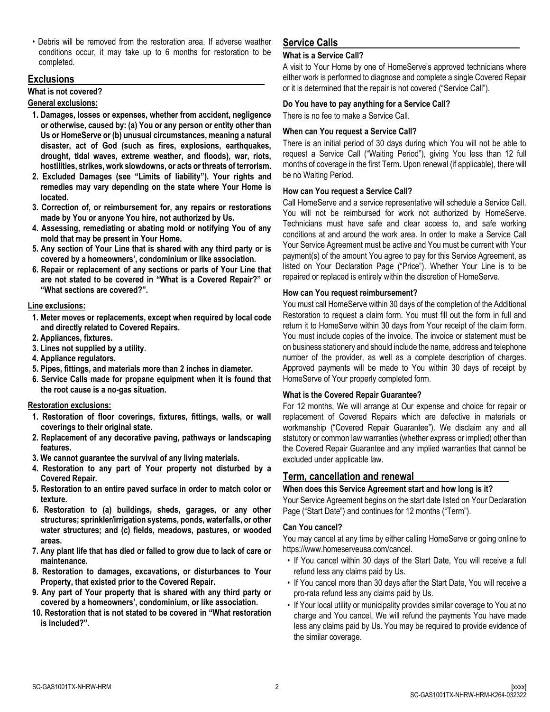• Debris will be removed from the restoration area. If adverse weather conditions occur, it may take up to 6 months for restoration to be completed.

## **Exclusions**

### **What is not covered?**

### **General exclusions:**

- **1. Damages, losses or expenses, whether from accident, negligence or otherwise, caused by: (a) You or any person or entity other than Us or HomeServe or (b) unusual circumstances, meaning a natural disaster, act of God (such as fires, explosions, earthquakes, drought, tidal waves, extreme weather, and floods), war, riots, hostilities, strikes, work slowdowns, or acts or threats of terrorism.**
- **2. Excluded Damages (see "Limits of liability"). Your rights and remedies may vary depending on the state where Your Home is located.**
- **3. Correction of, or reimbursement for, any repairs or restorations made by You or anyone You hire, not authorized by Us.**
- **4. Assessing, remediating or abating mold or notifying You of any mold that may be present in Your Home.**
- **5. Any section of Your Line that is shared with any third party or is covered by a homeowners', condominium or like association.**
- **6. Repair or replacement of any sections or parts of Your Line that are not stated to be covered in "What is a Covered Repair?" or "What sections are covered?".**

### **Line exclusions:**

- **1. Meter moves or replacements, except when required by local code and directly related to Covered Repairs.**
- **2. Appliances, fixtures.**
- **3. Lines not supplied by a utility.**
- **4. Appliance regulators.**
- **5. Pipes, fittings, and materials more than 2 inches in diameter.**
- **6. Service Calls made for propane equipment when it is found that the root cause is a no-gas situation.**

## **Restoration exclusions:**

- **1. Restoration of floor coverings, fixtures, fittings, walls, or wall coverings to their original state.**
- **2. Replacement of any decorative paving, pathways or landscaping features.**
- **3. We cannot guarantee the survival of any living materials.**
- **4. Restoration to any part of Your property not disturbed by a Covered Repair.**
- **5. Restoration to an entire paved surface in order to match color or texture.**
- **6. Restoration to (a) buildings, sheds, garages, or any other structures; sprinkler/irrigation systems, ponds, waterfalls, or other water structures; and (c) fields, meadows, pastures, or wooded areas.**
- **7. Any plant life that has died or failed to grow due to lack of care or maintenance.**
- **8. Restoration to damages, excavations, or disturbances to Your Property, that existed prior to the Covered Repair.**
- **9. Any part of Your property that is shared with any third party or covered by a homeowners', condominium, or like association.**
- **10. Restoration that is not stated to be covered in "What restoration is included?".**

# **Service Calls**

### **What is a Service Call?**

A visit to Your Home by one of HomeServe's approved technicians where either work is performed to diagnose and complete a single Covered Repair or it is determined that the repair is not covered ("Service Call").

## **Do You have to pay anything for a Service Call?**

There is no fee to make a Service Call.

### **When can You request a Service Call?**

There is an initial period of 30 days during which You will not be able to request a Service Call ("Waiting Period"), giving You less than 12 full months of coverage in the first Term. Upon renewal (if applicable), there will be no Waiting Period.

### **How can You request a Service Call?**

Call HomeServe and a service representative will schedule a Service Call. You will not be reimbursed for work not authorized by HomeServe. Technicians must have safe and clear access to, and safe working conditions at and around the work area. In order to make a Service Call Your Service Agreement must be active and You must be current with Your payment(s) of the amount You agree to pay for this Service Agreement, as listed on Your Declaration Page ("Price"). Whether Your Line is to be repaired or replaced is entirely within the discretion of HomeServe.

### **How can You request reimbursement?**

You must call HomeServe within 30 days of the completion of the Additional Restoration to request a claim form. You must fill out the form in full and return it to HomeServe within 30 days from Your receipt of the claim form. You must include copies of the invoice. The invoice or statement must be on business stationery and should include the name, address and telephone number of the provider, as well as a complete description of charges. Approved payments will be made to You within 30 days of receipt by HomeServe of Your properly completed form.

## **What is the Covered Repair Guarantee?**

For 12 months, We will arrange at Our expense and choice for repair or replacement of Covered Repairs which are defective in materials or workmanship ("Covered Repair Guarantee"). We disclaim any and all statutory or common law warranties (whether express or implied) other than the Covered Repair Guarantee and any implied warranties that cannot be excluded under applicable law.

## **Term, cancellation and renewal**

## **When does this Service Agreement start and how long is it?**

Your Service Agreement begins on the start date listed on Your Declaration Page ("Start Date") and continues for 12 months ("Term").

#### **Can You cancel?**

You may cancel at any time by either calling HomeServe or going online to https://www.homeserveusa.com/cancel.

- If You cancel within 30 days of the Start Date, You will receive a full refund less any claims paid by Us.
- If You cancel more than 30 days after the Start Date, You will receive a pro-rata refund less any claims paid by Us.
- If Your local utility or municipality provides similar coverage to You at no charge and You cancel, We will refund the payments You have made less any claims paid by Us. You may be required to provide evidence of the similar coverage.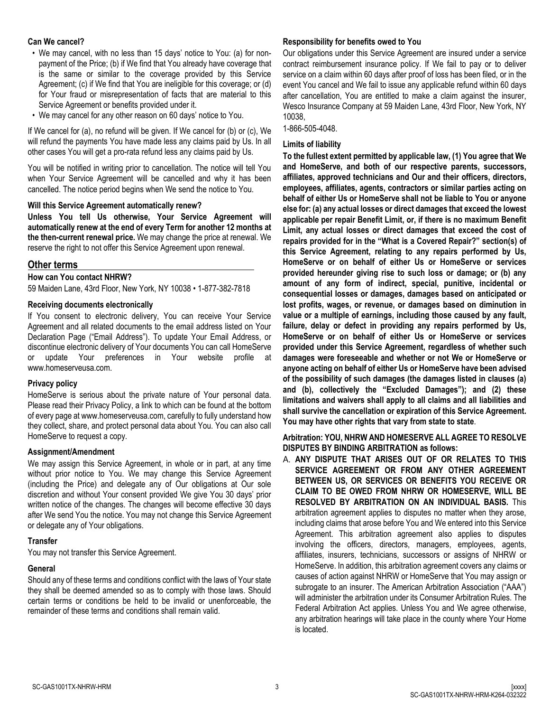#### **Can We cancel?**

- We may cancel, with no less than 15 days' notice to You: (a) for nonpayment of the Price; (b) if We find that You already have coverage that is the same or similar to the coverage provided by this Service Agreement; (c) if We find that You are ineligible for this coverage; or (d) for Your fraud or misrepresentation of facts that are material to this Service Agreement or benefits provided under it.
- We may cancel for any other reason on 60 days' notice to You.

If We cancel for (a), no refund will be given. If We cancel for (b) or (c), We will refund the payments You have made less any claims paid by Us. In all other cases You will get a pro-rata refund less any claims paid by Us.

You will be notified in writing prior to cancellation. The notice will tell You when Your Service Agreement will be cancelled and why it has been cancelled. The notice period begins when We send the notice to You.

#### **Will this Service Agreement automatically renew?**

**Unless You tell Us otherwise, Your Service Agreement will automatically renew at the end of every Term for another 12 months at the then-current renewal price.** We may change the price at renewal. We reserve the right to not offer this Service Agreement upon renewal.

### **Other terms**

#### **How can You contact NHRW?**

59 Maiden Lane, 43rd Floor, New York, NY 10038 • 1-877-382-7818

#### **Receiving documents electronically**

If You consent to electronic delivery, You can receive Your Service Agreement and all related documents to the email address listed on Your Declaration Page ("Email Address"). To update Your Email Address, or discontinue electronic delivery of Your documents You can call HomeServe or update Your preferences in Your website profile at www.homeserveusa.com.

#### **Privacy policy**

HomeServe is serious about the private nature of Your personal data. Please read their Privacy Policy, a link to which can be found at the bottom of every page at www.homeserveusa.com, carefully to fully understand how they collect, share, and protect personal data about You. You can also call HomeServe to request a copy.

#### **Assignment/Amendment**

We may assign this Service Agreement, in whole or in part, at any time without prior notice to You. We may change this Service Agreement (including the Price) and delegate any of Our obligations at Our sole discretion and without Your consent provided We give You 30 days' prior written notice of the changes. The changes will become effective 30 days after We send You the notice. You may not change this Service Agreement or delegate any of Your obligations.

#### **Transfer**

You may not transfer this Service Agreement.

#### **General**

Should any of these terms and conditions conflict with the laws of Your state they shall be deemed amended so as to comply with those laws. Should certain terms or conditions be held to be invalid or unenforceable, the remainder of these terms and conditions shall remain valid.

#### **Responsibility for benefits owed to You**

Our obligations under this Service Agreement are insured under a service contract reimbursement insurance policy. If We fail to pay or to deliver service on a claim within 60 days after proof of loss has been filed, or in the event You cancel and We fail to issue any applicable refund within 60 days after cancellation, You are entitled to make a claim against the insurer, Wesco Insurance Company at 59 Maiden Lane, 43rd Floor, New York, NY 10038,

1-866-505-4048.

#### **Limits of liability**

**To the fullest extent permitted by applicable law, (1) You agree that We and HomeServe, and both of our respective parents, successors, affiliates, approved technicians and Our and their officers, directors, employees, affiliates, agents, contractors or similar parties acting on behalf of either Us or HomeServe shall not be liable to You or anyone else for: (a) any actual losses or direct damages that exceed the lowest applicable per repair Benefit Limit, or, if there is no maximum Benefit Limit, any actual losses or direct damages that exceed the cost of repairs provided for in the "What is a Covered Repair?" section(s) of this Service Agreement, relating to any repairs performed by Us, HomeServe or on behalf of either Us or HomeServe or services provided hereunder giving rise to such loss or damage; or (b) any amount of any form of indirect, special, punitive, incidental or consequential losses or damages, damages based on anticipated or lost profits, wages, or revenue, or damages based on diminution in value or a multiple of earnings, including those caused by any fault, failure, delay or defect in providing any repairs performed by Us, HomeServe or on behalf of either Us or HomeServe or services provided under this Service Agreement, regardless of whether such damages were foreseeable and whether or not We or HomeServe or anyone acting on behalf of either Us or HomeServe have been advised of the possibility of such damages (the damages listed in clauses (a) and (b), collectively the "Excluded Damages"); and (2) these limitations and waivers shall apply to all claims and all liabilities and shall survive the cancellation or expiration of this Service Agreement. You may have other rights that vary from state to state**.

#### **Arbitration: YOU, NHRW AND HOMESERVE ALL AGREE TO RESOLVE DISPUTES BY BINDING ARBITRATION as follows:**

A. **ANY DISPUTE THAT ARISES OUT OF OR RELATES TO THIS SERVICE AGREEMENT OR FROM ANY OTHER AGREEMENT BETWEEN US, OR SERVICES OR BENEFITS YOU RECEIVE OR CLAIM TO BE OWED FROM NHRW OR HOMESERVE, WILL BE RESOLVED BY ARBITRATION ON AN INDIVIDUAL BASIS.** This arbitration agreement applies to disputes no matter when they arose, including claims that arose before You and We entered into this Service Agreement. This arbitration agreement also applies to disputes involving the officers, directors, managers, employees, agents, affiliates, insurers, technicians, successors or assigns of NHRW or HomeServe. In addition, this arbitration agreement covers any claims or causes of action against NHRW or HomeServe that You may assign or subrogate to an insurer. The American Arbitration Association ("AAA") will administer the arbitration under its Consumer Arbitration Rules. The Federal Arbitration Act applies. Unless You and We agree otherwise, any arbitration hearings will take place in the county where Your Home is located.